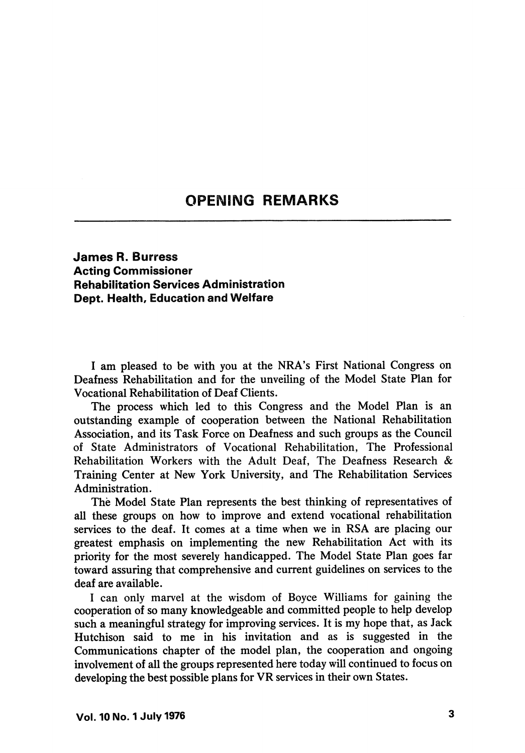## **OPENING REMARKS**

## James R. Burress Acting Commissioner Rehabilitation Services Administration Dept. Health, Education and Welfare

I am pleased to be with you at the NRA's First National Congress on Deafness Rehabilitation and for the unveiling of the Model State Plan for Vocational Rehabilitation of Deaf Clients.

The process which led to this Congress and the Model Plan is an outstanding example of cooperation between the National Rehabilitation Association, and its Task Force on Deafness and such groups as the Council of State Administrators of Vocational Rehabilitation, The Professional Rehabilitation Workers with the Adult Deaf, The Deafness Research & Training Center at New York University, and The Rehabilitation Services Administration.

The Model State Plan represents the best thinking of representatives of all these groups on how to improve and extend vocational rehabilitation services to the deaf. It comes at a time when we in RSA are placing our greatest emphasis on implementing the new Rehabilitation Act with its priority for the most severely handicapped. The Model State Plan goes far toward assuring that comprehensive and current guidelines on services to the deaf are available.

1 can only marvel at the wisdom of Boyce Williams for gaining the cooperation of so many knowledgeable and committed people to help develop such a meaningful strategy for improving services. It is my hope that, as Jack Hutchison said to me in his invitation and as is suggested in the Communications chapter of the model plan, the cooperation and ongoing involvement of all the groups represented here today will continued to focus on developing the best possible plans for VR services in their own States.